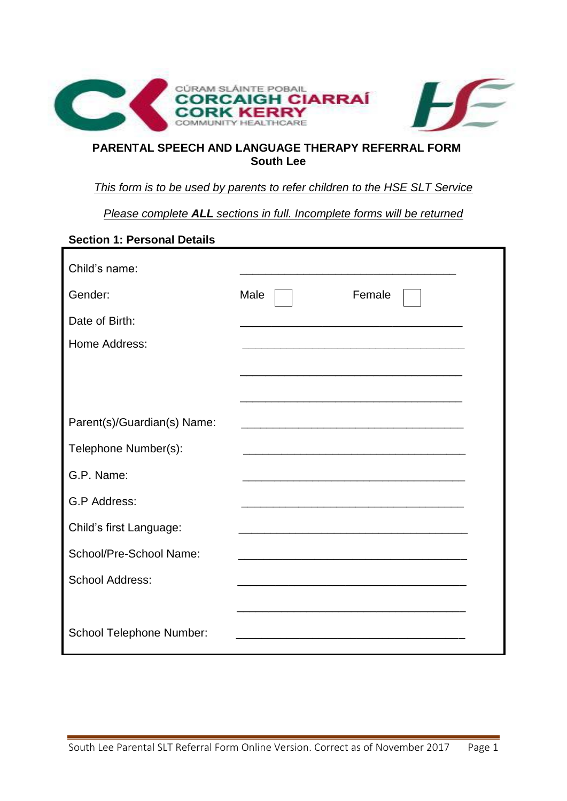

## **PARENTAL SPEECH AND LANGUAGE THERAPY REFERRAL FORM South Lee**

### *This form is to be used by parents to refer children to the HSE SLT Service*

*Please complete ALL sections in full. Incomplete forms will be returned*

# **Section 1: Personal Details**

| Child's name:               |      |                                                                                                                      |
|-----------------------------|------|----------------------------------------------------------------------------------------------------------------------|
| Gender:                     | Male | Female                                                                                                               |
| Date of Birth:              |      |                                                                                                                      |
| Home Address:               |      |                                                                                                                      |
|                             |      |                                                                                                                      |
|                             |      |                                                                                                                      |
| Parent(s)/Guardian(s) Name: |      |                                                                                                                      |
| Telephone Number(s):        |      |                                                                                                                      |
| G.P. Name:                  |      |                                                                                                                      |
| G.P Address:                |      |                                                                                                                      |
| Child's first Language:     |      |                                                                                                                      |
| School/Pre-School Name:     |      | <u> 1989 - Johann Stein, marwolaethau a bhann an t-Amhair ann an t-Amhair an t-Amhair an t-Amhair an t-Amhair an</u> |
| <b>School Address:</b>      |      |                                                                                                                      |
|                             |      |                                                                                                                      |
| School Telephone Number:    |      |                                                                                                                      |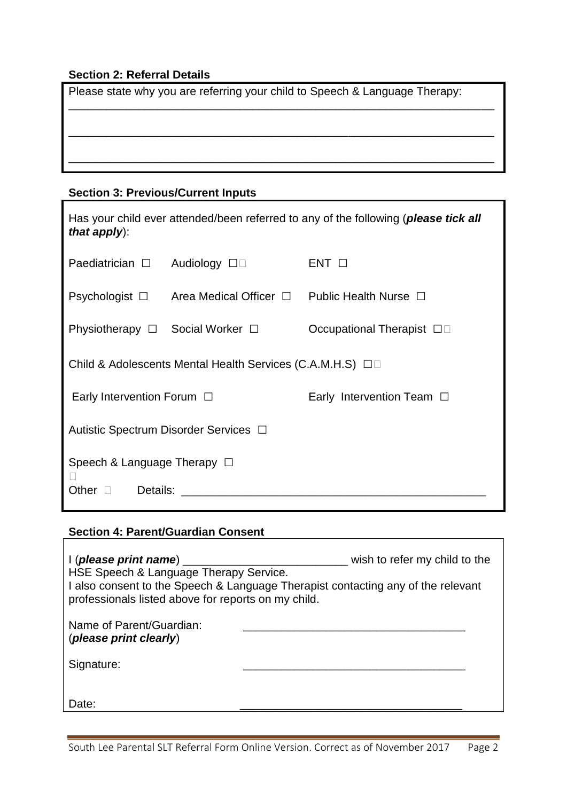## **Section 2: Referral Details**

| Please state why you are referring your child to Speech & Language Therapy: |  |  |  |
|-----------------------------------------------------------------------------|--|--|--|
|                                                                             |  |  |  |
|                                                                             |  |  |  |
|                                                                             |  |  |  |

## **Section 3: Previous/Current Inputs**

| Has your child ever attended/been referred to any of the following ( <i>please tick all</i><br>that apply): |                             |                                |  |  |
|-------------------------------------------------------------------------------------------------------------|-----------------------------|--------------------------------|--|--|
| Paediatrician $\Box$                                                                                        | Audiology $\square$         | $ENT$ $\Box$                   |  |  |
| Psychologist $\square$                                                                                      | Area Medical Officer $\Box$ | Public Health Nurse $\Box$     |  |  |
| Physiotherapy $\Box$ Social Worker $\Box$                                                                   |                             | Occupational Therapist □□      |  |  |
| Child & Adolescents Mental Health Services (C.A.M.H.S) □□                                                   |                             |                                |  |  |
| Early Intervention Forum $\Box$                                                                             |                             | Early Intervention Team $\Box$ |  |  |
| Autistic Spectrum Disorder Services □                                                                       |                             |                                |  |  |
| Speech & Language Therapy $\Box$<br>Other<br>Details:                                                       |                             |                                |  |  |

## **Section 4: Parent/Guardian Consent**

| $\mid$ (please print name) $\equiv$<br>HSE Speech & Language Therapy Service.<br>professionals listed above for reports on my child. | wish to refer my child to the<br>I also consent to the Speech & Language Therapist contacting any of the relevant |  |
|--------------------------------------------------------------------------------------------------------------------------------------|-------------------------------------------------------------------------------------------------------------------|--|
| Name of Parent/Guardian:<br>(please print clearly)                                                                                   |                                                                                                                   |  |
| Signature:                                                                                                                           |                                                                                                                   |  |
| Date:                                                                                                                                |                                                                                                                   |  |